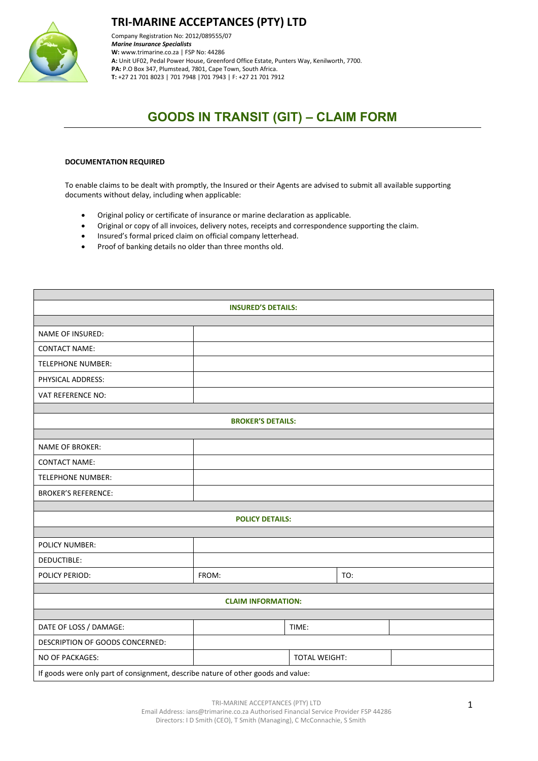

**TRI-MARINE ACCEPTANCES (PTY) LTD**

Company Registration No: 2012/089555/07 *Marine Insurance Specialists*  **W:** [www.trimarine.co.za](http://www.trimarine.co.za/) | FSP No: 44286 **A:** Unit UF02, Pedal Power House, Greenford Office Estate, Punters Way, Kenilworth, 7700. **PA:** P.O Box 347, Plumstead, 7801, Cape Town, South Africa. **T:** +27 21 701 8023 | 701 7948 |701 7943 | F: +27 21 701 7912

## **GOODS IN TRANSIT (GIT) – CLAIM FORM**

## **DOCUMENTATION REQUIRED**

To enable claims to be dealt with promptly, the Insured or their Agents are advised to submit all available supporting documents without delay, including when applicable:

- Original policy or certificate of insurance or marine declaration as applicable.
- Original or copy of all invoices, delivery notes, receipts and correspondence supporting the claim.
- Insured's formal priced claim on official company letterhead.
- Proof of banking details no older than three months old.

| <b>INSURED'S DETAILS:</b>                                                         |       |                      |     |  |  |  |  |
|-----------------------------------------------------------------------------------|-------|----------------------|-----|--|--|--|--|
|                                                                                   |       |                      |     |  |  |  |  |
| NAME OF INSURED:                                                                  |       |                      |     |  |  |  |  |
| <b>CONTACT NAME:</b>                                                              |       |                      |     |  |  |  |  |
| <b>TELEPHONE NUMBER:</b>                                                          |       |                      |     |  |  |  |  |
| PHYSICAL ADDRESS:                                                                 |       |                      |     |  |  |  |  |
| VAT REFERENCE NO:                                                                 |       |                      |     |  |  |  |  |
|                                                                                   |       |                      |     |  |  |  |  |
| <b>BROKER'S DETAILS:</b>                                                          |       |                      |     |  |  |  |  |
|                                                                                   |       |                      |     |  |  |  |  |
| <b>NAME OF BROKER:</b>                                                            |       |                      |     |  |  |  |  |
| <b>CONTACT NAME:</b>                                                              |       |                      |     |  |  |  |  |
| TELEPHONE NUMBER:                                                                 |       |                      |     |  |  |  |  |
| <b>BROKER'S REFERENCE:</b>                                                        |       |                      |     |  |  |  |  |
|                                                                                   |       |                      |     |  |  |  |  |
| <b>POLICY DETAILS:</b>                                                            |       |                      |     |  |  |  |  |
| POLICY NUMBER:                                                                    |       |                      |     |  |  |  |  |
|                                                                                   |       |                      |     |  |  |  |  |
| DEDUCTIBLE:                                                                       |       |                      |     |  |  |  |  |
| POLICY PERIOD:                                                                    | FROM: |                      | TO: |  |  |  |  |
| <b>CLAIM INFORMATION:</b>                                                         |       |                      |     |  |  |  |  |
|                                                                                   |       |                      |     |  |  |  |  |
| DATE OF LOSS / DAMAGE:                                                            |       | TIME:                |     |  |  |  |  |
| DESCRIPTION OF GOODS CONCERNED:                                                   |       |                      |     |  |  |  |  |
| NO OF PACKAGES:                                                                   |       | <b>TOTAL WEIGHT:</b> |     |  |  |  |  |
| If goods were only part of consignment, describe nature of other goods and value: |       |                      |     |  |  |  |  |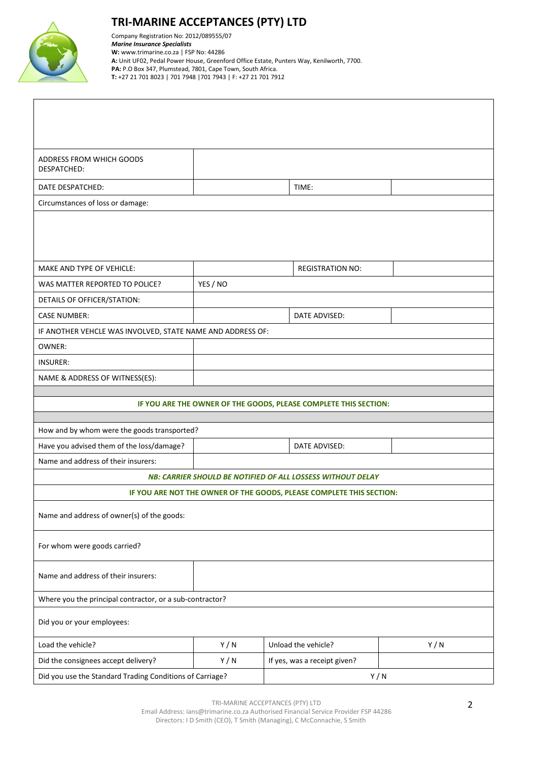

## **TRI-MARINE ACCEPTANCES (PTY) LTD**

Company Registration No: 2012/089555/07 *Marine Insurance Specialists*  **W:** [www.trimarine.co.za](http://www.trimarine.co.za/) | FSP No: 44286 **A:** Unit UF02, Pedal Power House, Greenford Office Estate, Punters Way, Kenilworth, 7700. **PA:** P.O Box 347, Plumstead, 7801, Cape Town, South Africa. **T:** +27 21 701 8023 | 701 7948 |701 7943 | F: +27 21 701 7912

| ADDRESS FROM WHICH GOODS<br><b>DESPATCHED:</b>                   |          |                                                                      |  |  |  |  |  |
|------------------------------------------------------------------|----------|----------------------------------------------------------------------|--|--|--|--|--|
| DATE DESPATCHED:                                                 |          | TIME:                                                                |  |  |  |  |  |
| Circumstances of loss or damage:                                 |          |                                                                      |  |  |  |  |  |
|                                                                  |          |                                                                      |  |  |  |  |  |
| MAKE AND TYPE OF VEHICLE:                                        |          | <b>REGISTRATION NO:</b>                                              |  |  |  |  |  |
| WAS MATTER REPORTED TO POLICE?                                   | YES / NO |                                                                      |  |  |  |  |  |
| DETAILS OF OFFICER/STATION:                                      |          |                                                                      |  |  |  |  |  |
| <b>CASE NUMBER:</b>                                              |          | DATE ADVISED:                                                        |  |  |  |  |  |
| IF ANOTHER VEHCLE WAS INVOLVED, STATE NAME AND ADDRESS OF:       |          |                                                                      |  |  |  |  |  |
| OWNER:                                                           |          |                                                                      |  |  |  |  |  |
| <b>INSURER:</b>                                                  |          |                                                                      |  |  |  |  |  |
| NAME & ADDRESS OF WITNESS(ES):                                   |          |                                                                      |  |  |  |  |  |
|                                                                  |          |                                                                      |  |  |  |  |  |
| IF YOU ARE THE OWNER OF THE GOODS, PLEASE COMPLETE THIS SECTION: |          |                                                                      |  |  |  |  |  |
| How and by whom were the goods transported?                      |          |                                                                      |  |  |  |  |  |
| Have you advised them of the loss/damage?                        |          | DATE ADVISED:                                                        |  |  |  |  |  |
| Name and address of their insurers:                              |          |                                                                      |  |  |  |  |  |
| NB: CARRIER SHOULD BE NOTIFIED OF ALL LOSSESS WITHOUT DELAY      |          |                                                                      |  |  |  |  |  |
|                                                                  |          | IF YOU ARE NOT THE OWNER OF THE GOODS, PLEASE COMPLETE THIS SECTION: |  |  |  |  |  |
| Name and address of owner(s) of the goods:                       |          |                                                                      |  |  |  |  |  |
| For whom were goods carried?                                     |          |                                                                      |  |  |  |  |  |
| Name and address of their insurers:                              |          |                                                                      |  |  |  |  |  |
| Where you the principal contractor, or a sub-contractor?         |          |                                                                      |  |  |  |  |  |
| Did you or your employees:                                       |          |                                                                      |  |  |  |  |  |
| Load the vehicle?                                                |          | Unload the vehicle?<br>Y/N                                           |  |  |  |  |  |
|                                                                  | Y/N      |                                                                      |  |  |  |  |  |
| Did the consignees accept delivery?                              | Y/N      | If yes, was a receipt given?                                         |  |  |  |  |  |